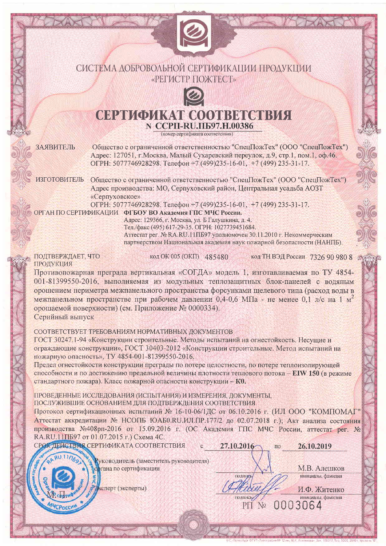## СИСТЕМА ДОБРОВОЛЬНОЙ СЕРТИФИКАЦИИ ПРОДУКЦИИ «РЕГИСТР ПОЖТЕСТ»



# **CEPTIOLIKAT COOTRECTRIST** N CCPII-RU.II597.H.00386

(номер сертификата соответствия)

ЗАЯВИТЕЛЬ

Общество с ограниченной ответственностью "СпецПожТех" (ООО "СпецПожТех") Адрес: 127051, г. Москва, Малый Сухаревский переулок, д.9, стр.1, пом.1, оф.46. ОГРН: 5077746928298. Телефон +7 (499)235-16-01, +7 (499) 235-31-17.

ИЗГОТОВИТЕЛЬ Общество с ограниченной ответственностью "СпецПожТех" (ООО "СпецПожТех") Адрес производства: МО, Серпуховский район, Центральная усадьба АОЗТ «Серпуховское»

ОГРН: 5077746928298. Телефон +7 (499)235-16-01, +7 (499) 235-31-17.

ОРГАН ПО СЕРТИФИКАЦИИ ФГБОУ ВО Академия ГПС МЧС России.

Адрес: 129366, г. Москва, ул. Б Галушкина, д. 4. Тел./факс (495) 617-29-35. ОГРН: 1027739451684. Аттестат рег. № RA.RU.11ПБ97 уполномочен 30.11.2010 г. Некоммерческим партнерством Национальная академия наук пожарной безопасности (НАНПБ).

ПОДТВЕРЖДАЕТ, ЧТО ПРОДУКЦИЯ

код ОК 005 (ОКП) 485480

код ТН ВЭД России 7326 90 980 8

Противопожарная преграда вертикальная «СОГДА» модель 1, изготавливаемая по ТУ 4854-001-81399550-2016, выполняемая из модульных теплозащитных блок-панелей с водяным орошением периметра межпанельного пространства форсунками щелевого типа (расход воды в межпанельном пространстве при рабочем давлении 0,4-0,6 МПа - не менее 0,1 л/с на 1  $M^2$ орошаемой поверхности) (см. Приложение № 0000334). Серийный выпуск

СООТВЕТСТВУЕТ ТРЕБОВАНИЯМ НОРМАТИВНЫХ ЛОКУМЕНТОВ

ГОСТ 30247.1-94 «Конструкции строительные. Методы испытаний на огнестойкость. Несущие и ограждающие конструкции», ГОСТ 30403-2012 «Конструкции строительные. Метод испытаний на пожарную опасность», ТУ 4854-001-81399550-2016.

Предел огнестойкости конструкции преграды по потере целостности, по потере теплоизолирующей способности и по достижению предельной величины плотности теплового потока - EIW 150 (в режиме стандартного пожара). Класс пожарной опасности конструкции - К0.

ПРОВЕДЕННЫЕ ИССЛЕДОВАНИЯ (ИСПЫТАНИЯ) И ИЗМЕРЕНИЯ, ДОКУМЕНТЫ,

ПОСЛУЖИВШИЕ ОСНОВАНИЕМ ДЛЯ ПОДТВЕРЖДЕНИЯ СООТВЕТСТВИЯ

Протокол сертификационных испытаний № 16-10-06/1ДС от 06.10.2016 г. (ИЛ ООО "КОМПОМАГ" Аттестат аккредитации № НСОПБ ЮАБ0.RU.ИЛ.ПР.177/2 до 02.07.2018 г.); Акт анализа состояния производства №408рп-2016 от 15.09.2016 г. (ОС Академия ГПС МЧС России, аттестат рег. № RA.RU.11ПБ97 от 01.07.2015 г.) Схема 4С.

СРОК ДЕЙСТВИЯ СЕРТИФИКАТА СООТВЕТСТВИЯ 27.10.2016 26.10.2019 по Руководитель (заместитель руководителя) ргана по сертификации М.В. Алешков подпись инициалы, фамилия сперт (эксперты) И.Ф. Житенко полнись инициалы, фамилия 0003064  $P\Pi$  No